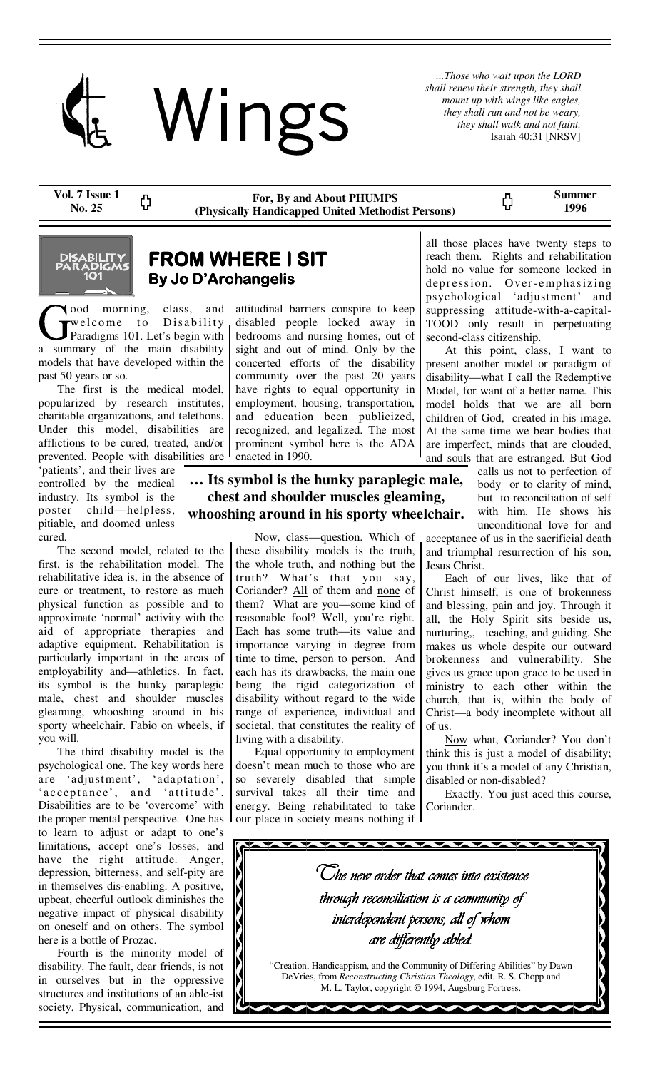

*...Those who wait upon the LORD shall renew their strength, they shall mount up with wings like eagles, they shall run and not be weary, they shall walk and not faint.*  Isaiah 40:31 [NRSV]

ς,

**Vol. 7 Issue 1 No. 25** 

**For, By and About PHUMPS (Physically Handicapped United Methodist Persons)**  **Summer 1996** 



# **FROM WHERE I SIT By Jo D'Archangelis**

ood morning, class, and welcome to Disability Paradigms 101. Let's begin with a summary of the main disability models that have developed within the past 50 years or so.

ረጋ

 The first is the medical model, popularized by research institutes, charitable organizations, and telethons. Under this model, disabilities are afflictions to be cured, treated, and/or prevented. People with disabilities are

'patients', and their lives are controlled by the medical industry. Its symbol is the poster child—helpless, pitiable, and doomed unless cured.

 The second model, related to the first, is the rehabilitation model. The rehabilitative idea is, in the absence of cure or treatment, to restore as much physical function as possible and to approximate 'normal' activity with the aid of appropriate therapies and adaptive equipment. Rehabilitation is particularly important in the areas of employability and—athletics. In fact, its symbol is the hunky paraplegic male, chest and shoulder muscles gleaming, whooshing around in his sporty wheelchair. Fabio on wheels, if you will.

 The third disability model is the psychological one. The key words here are 'adjustment', 'adaptation', 'acceptance', and 'attitude'. Disabilities are to be 'overcome' with the proper mental perspective. One has to learn to adjust or adapt to one's limitations, accept one's losses, and have the right attitude. Anger, depression, bitterness, and self-pity are in themselves dis-enabling. A positive, upbeat, cheerful outlook diminishes the negative impact of physical disability on oneself and on others. The symbol here is a bottle of Prozac.

 Fourth is the minority model of disability. The fault, dear friends, is not in ourselves but in the oppressive structures and institutions of an able-ist society. Physical, communication, and attitudinal barriers conspire to keep disabled people locked away in bedrooms and nursing homes, out of sight and out of mind. Only by the concerted efforts of the disability community over the past 20 years have rights to equal opportunity in employment, housing, transportation, and education been publicized, recognized, and legalized. The most prominent symbol here is the ADA enacted in 1990.

**… Its symbol is the hunky paraplegic male, chest and shoulder muscles gleaming, whooshing around in his sporty wheelchair.** 

> Now, class—question. Which of these disability models is the truth, the whole truth, and nothing but the truth? What's that you say, Coriander? All of them and none of them? What are you—some kind of reasonable fool? Well, you're right. Each has some truth—its value and importance varying in degree from time to time, person to person. And each has its drawbacks, the main one being the rigid categorization of disability without regard to the wide range of experience, individual and societal, that constitutes the reality of living with a disability.

> Equal opportunity to employment doesn't mean much to those who are so severely disabled that simple survival takes all their time and energy. Being rehabilitated to take our place in society means nothing if

all those places have twenty steps to reach them. Rights and rehabilitation hold no value for someone locked in depression. Over-emphasizing psychological 'adjustment' and suppressing attitude-with-a-capital-TOOD only result in perpetuating second-class citizenship.

 At this point, class, I want to present another model or paradigm of disability—what I call the Redemptive Model, for want of a better name. This model holds that we are all born children of God, created in his image. At the same time we bear bodies that are imperfect, minds that are clouded, and souls that are estranged. But God

calls us not to perfection of body or to clarity of mind, but to reconciliation of self with him. He shows his unconditional love for and

acceptance of us in the sacrificial death and triumphal resurrection of his son, Jesus Christ.

 Each of our lives, like that of Christ himself, is one of brokenness and blessing, pain and joy. Through it all, the Holy Spirit sits beside us, nurturing,, teaching, and guiding. She makes us whole despite our outward brokenness and vulnerability. She gives us grace upon grace to be used in ministry to each other within the church, that is, within the body of Christ—a body incomplete without all of us.

Now what, Coriander? You don't think this is just a model of disability; you think it's a model of any Christian, disabled or non-disabled?

 Exactly. You just aced this course, Coriander.

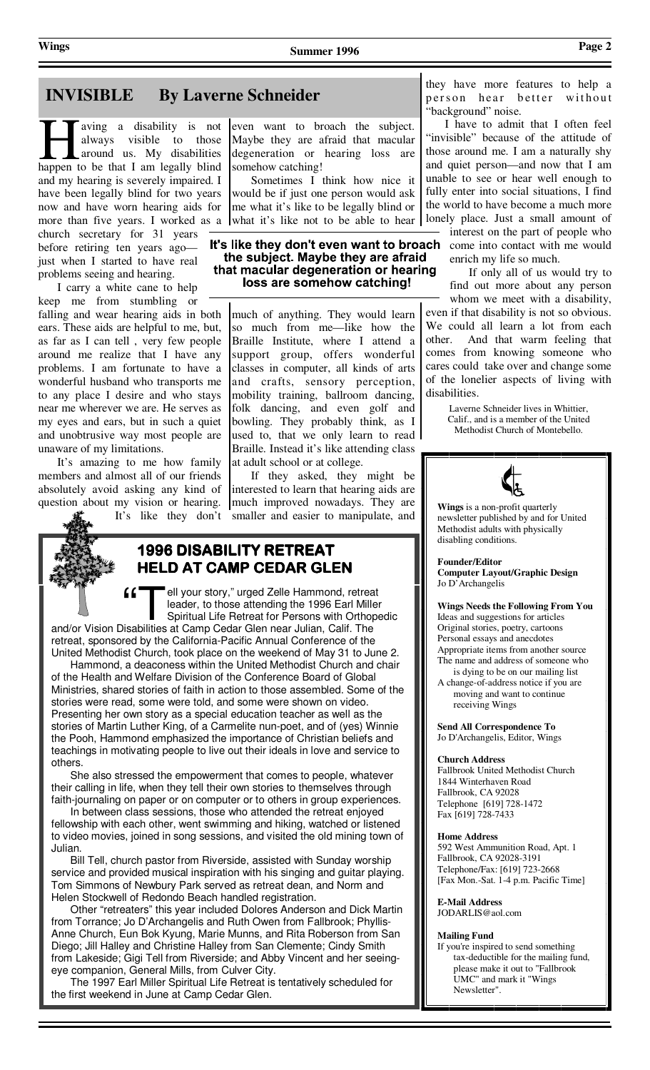# **INVISIBLE By Laverne Schneider**

aving a disability is not always visible to those around us. My disabilities happen to be that I am legally blind and my hearing is severely impaired. I have been legally blind for two years now and have worn hearing aids for more than five years. I worked as a church secretary for 31 years before retiring ten years ago just when I started to have real problems seeing and hearing.

 I carry a white cane to help keep me from stumbling or falling and wear hearing aids in both ears. These aids are helpful to me, but, as far as I can tell , very few people around me realize that I have any problems. I am fortunate to have a wonderful husband who transports me to any place I desire and who stays near me wherever we are. He serves as my eyes and ears, but in such a quiet and unobtrusive way most people are unaware of my limitations.

 It's amazing to me how family members and almost all of our friends absolutely avoid asking any kind of question about my vision or hearing. It's like they don't

even want to broach the subject. Maybe they are afraid that macular degeneration or hearing loss are somehow catching!

 Sometimes I think how nice it would be if just one person would ask me what it's like to be legally blind or what it's like not to be able to hear

### It's like they don't even want to broach the subject. Maybe they are afraid that macular degeneration or hearing loss are somehow catching!

much of anything. They would learn so much from me—like how the Braille Institute, where I attend a support group, offers wonderful classes in computer, all kinds of arts and crafts, sensory perception, mobility training, ballroom dancing, folk dancing, and even golf and bowling. They probably think, as I used to, that we only learn to read Braille. Instead it's like attending class at adult school or at college.

 If they asked, they might be interested to learn that hearing aids are much improved nowadays. They are smaller and easier to manipulate, and



## **1996 DISABILITY RETREAT RETREAT HELD AT CAMP CEDAR GLEN**

 $ff$   $T$  ell your story," urged Zelle Hammond, retreat leader, to those attending the 1996 Earl Miller Spiritual Life Retreat for Persons with Orthopedic and/or Vision Disabilities at Camp Cedar Glen near Julian, Calif. The

retreat, sponsored by the California-Pacific Annual Conference of the United Methodist Church, took place on the weekend of May 31 to June 2.

 Hammond, a deaconess within the United Methodist Church and chair of the Health and Welfare Division of the Conference Board of Global Ministries, shared stories of faith in action to those assembled. Some of the stories were read, some were told, and some were shown on video. Presenting her own story as a special education teacher as well as the stories of Martin Luther King, of a Carmelite nun-poet, and of (yes) Winnie the Pooh, Hammond emphasized the importance of Christian beliefs and teachings in motivating people to live out their ideals in love and service to others.

 She also stressed the empowerment that comes to people, whatever their calling in life, when they tell their own stories to themselves through faith-journaling on paper or on computer or to others in group experiences.

 In between class sessions, those who attended the retreat enjoyed fellowship with each other, went swimming and hiking, watched or listened to video movies, joined in song sessions, and visited the old mining town of Julian.

 Bill Tell, church pastor from Riverside, assisted with Sunday worship service and provided musical inspiration with his singing and guitar playing. Tom Simmons of Newbury Park served as retreat dean, and Norm and Helen Stockwell of Redondo Beach handled registration.

 Other "retreaters" this year included Dolores Anderson and Dick Martin from Torrance; Jo D'Archangelis and Ruth Owen from Fallbrook; Phyllis-Anne Church, Eun Bok Kyung, Marie Munns, and Rita Roberson from San Diego; Jill Halley and Christine Halley from San Clemente; Cindy Smith from Lakeside; Gigi Tell from Riverside; and Abby Vincent and her seeingeye companion, General Mills, from Culver City.

 The 1997 Earl Miller Spiritual Life Retreat is tentatively scheduled for the first weekend in June at Camp Cedar Glen.

they have more features to help a person hear better without "background" noise.

 I have to admit that I often feel "invisible" because of the attitude of those around me. I am a naturally shy and quiet person—and now that I am unable to see or hear well enough to fully enter into social situations, I find the world to have become a much more lonely place. Just a small amount of interest on the part of people who come into contact with me would enrich my life so much.

 If only all of us would try to find out more about any person whom we meet with a disability, even if that disability is not so obvious. We could all learn a lot from each other. And that warm feeling that comes from knowing someone who cares could take over and change some of the lonelier aspects of living with disabilities.

> Laverne Schneider lives in Whittier, Calif., and is a member of the United Methodist Church of Montebello.



**Wings** is a non-profit quarterly newsletter published by and for United Methodist adults with physically disabling conditions.

**Founder/Editor Computer Layout/Graphic Design**  Jo D'Archangelis

**Wings Needs the Following From You**  Ideas and suggestions for articles Original stories, poetry, cartoons Personal essays and anecdotes

Appropriate items from another source The name and address of someone who

 is dying to be on our mailing list A change-of-address notice if you are moving and want to continue receiving Wings

**Send All Correspondence To**  Jo D'Archangelis, Editor, Wings

#### **Church Address**

Fallbrook United Methodist Church 1844 Winterhaven Road Fallbrook, CA 92028 Telephone [619] 728-1472 Fax [619] 728-7433

#### **Home Address**

592 West Ammunition Road, Apt. 1 Fallbrook, CA 92028-3191 Telephone/Fax: [619] 723-2668 [Fax Mon.-Sat. 1-4 p.m. Pacific Time]

**E-Mail Address** 

JODARLIS@aol.com

#### **Mailing Fund**

If you're inspired to send something tax-deductible for the mailing fund, please make it out to "Fallbrook UMC" and mark it "Wings Newsletter".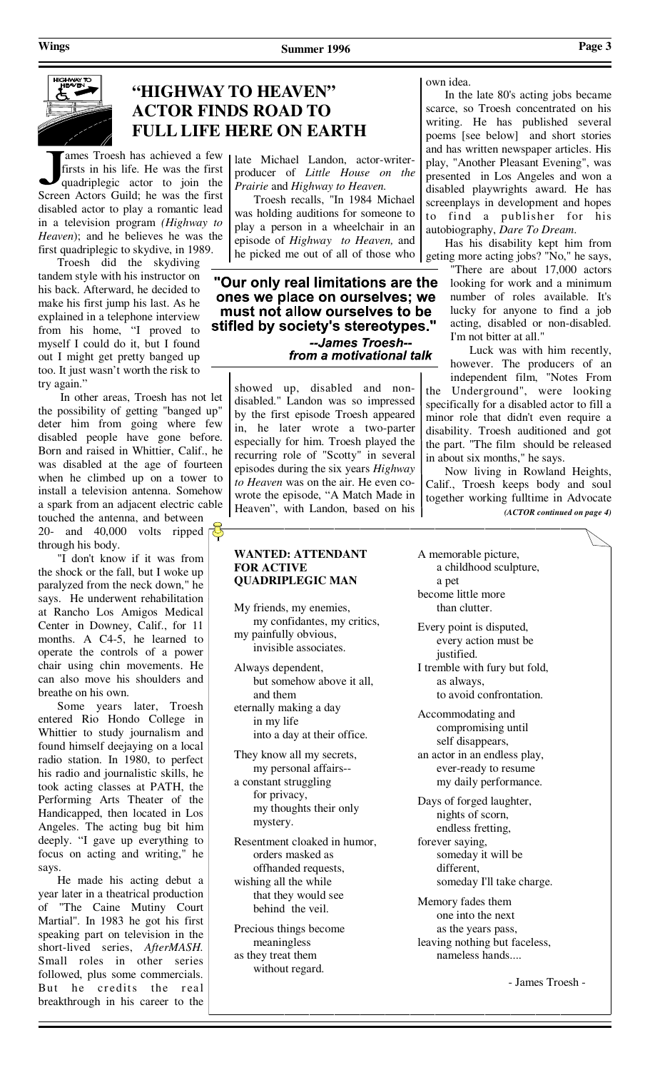

# **"HIGHWAY TO HEAVEN" ACTOR FINDS ROAD TO FULL LIFE HERE ON EARTH**

ames Troesh has achieved a few firsts in his life. He was the first quadriplegic actor to join the Screen Actors Guild; he was the first disabled actor to play a romantic lead in a television program *(Highway to Heaven*); and he believes he was the first quadriplegic to skydive, in 1989.

 Troesh did the skydiving tandem style with his instructor on his back. Afterward, he decided to make his first jump his last. As he explained in a telephone interview from his home, "I proved to myself I could do it, but I found out I might get pretty banged up too. It just wasn't worth the risk to try again."

 In other areas, Troesh has not let the possibility of getting "banged up" deter him from going where few disabled people have gone before. Born and raised in Whittier, Calif., he was disabled at the age of fourteen when he climbed up on a tower to install a television antenna. Somehow a spark from an adjacent electric cable

touched the antenna, and between 20- and 40,000 volts ripped through his body.

 "I don't know if it was from the shock or the fall, but I woke up paralyzed from the neck down," he says. He underwent rehabilitation at Rancho Los Amigos Medical Center in Downey, Calif., for 11 months. A C4-5, he learned to operate the controls of a power chair using chin movements. He can also move his shoulders and breathe on his own.

 Some years later, Troesh entered Rio Hondo College in Whittier to study journalism and found himself deejaying on a local radio station. In 1980, to perfect his radio and journalistic skills, he took acting classes at PATH, the Performing Arts Theater of the Handicapped, then located in Los Angeles. The acting bug bit him deeply. "I gave up everything to focus on acting and writing," he says.

 He made his acting debut a year later in a theatrical production of "The Caine Mutiny Court Martial". In 1983 he got his first speaking part on television in the short-lived series, *AfterMASH.*  Small roles in other series followed, plus some commercials. But he credits the real breakthrough in his career to the

### late Michael Landon, actor-writerproducer of *Little House on the Prairie* and *Highway to Heaven.*

 Troesh recalls, "In 1984 Michael was holding auditions for someone to play a person in a wheelchair in an episode of *Highway to Heaven,* and he picked me out of all of those who

"Our only real limitations are the ones we place on ourselves; we must not allow ourselves to be stifled by society's stereotypes." --James Troesh--

from a motivational talk

showed up, disabled and nondisabled." Landon was so impressed by the first episode Troesh appeared in, he later wrote a two-parter especially for him. Troesh played the recurring role of "Scotty" in several episodes during the six years *Highway to Heaven* was on the air. He even cowrote the episode, "A Match Made in Heaven", with Landon, based on his

### **WANTED: ATTENDANT FOR ACTIVE QUADRIPLEGIC MAN**

- My friends, my enemies, my confidantes, my critics, my painfully obvious, invisible associates.
- Always dependent, but somehow above it all, and them eternally making a day

 in my life into a day at their office.

They know all my secrets, my personal affairs--

a constant struggling for privacy, my thoughts their only mystery.

Resentment cloaked in humor, orders masked as offhanded requests, wishing all the while that they would see behind the veil.

Precious things become meaningless as they treat them without regard.

own idea.

 In the late 80's acting jobs became scarce, so Troesh concentrated on his writing. He has published several poems [see below] and short stories and has written newspaper articles. His play, "Another Pleasant Evening", was presented in Los Angeles and won a disabled playwrights award. He has screenplays in development and hopes to find a publisher for his autobiography, *Dare To Dream*.

 Has his disability kept him from geting more acting jobs? "No," he says,

"There are about 17,000 actors looking for work and a minimum number of roles available. It's lucky for anyone to find a job acting, disabled or non-disabled. I'm not bitter at all."

 Luck was with him recently, however. The producers of an independent film, "Notes From the Underground", were looking specifically for a disabled actor to fill a minor role that didn't even require a disability. Troesh auditioned and got the part. "The film should be released in about six months," he says.

 Now living in Rowland Heights, Calif., Troesh keeps body and soul together working fulltime in Advocate *(ACTOR continued on page 4)* 

- A memorable picture, a childhood sculpture, a pet become little more than clutter.
- Every point is disputed, every action must be justified. I tremble with fury but fold,
	- as always, to avoid confrontation.
- Accommodating and compromising until self disappears, an actor in an endless play, ever-ready to resume

my daily performance.

- Days of forged laughter, nights of scorn, endless fretting, forever saying, someday it will be different, someday I'll take charge.
- Memory fades them one into the next as the years pass, leaving nothing but faceless,

nameless hands....

- James Troesh -